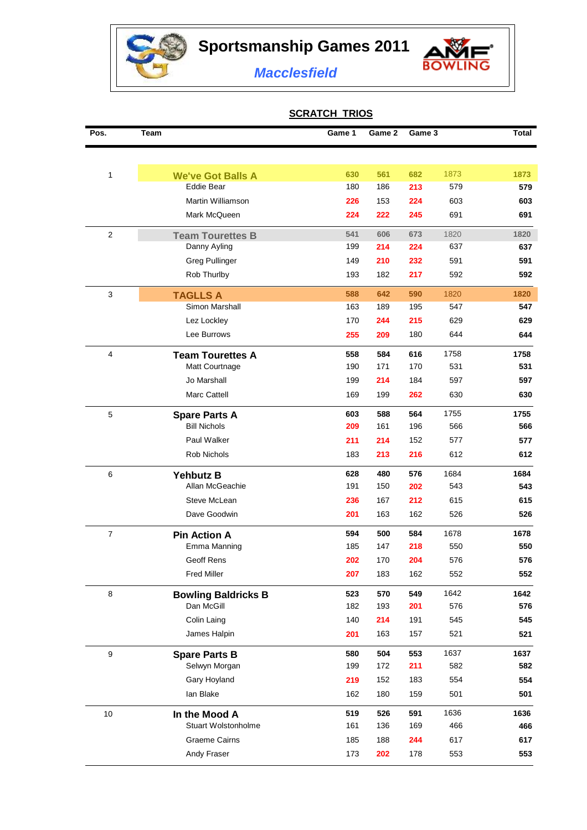**Sportsmanship Games 2011**

à



*Macclesfield*

## **SCRATCH TRIOS**

| Pos.             | <b>Team</b>                | Game 1 | Game 2 | Game 3 |      | <b>Total</b> |
|------------------|----------------------------|--------|--------|--------|------|--------------|
|                  |                            |        |        |        |      |              |
| 1                | <b>We've Got Balls A</b>   | 630    | 561    | 682    | 1873 | 1873         |
|                  | <b>Eddie Bear</b>          | 180    | 186    | 213    | 579  | 579          |
|                  | Martin Williamson          | 226    | 153    | 224    | 603  | 603          |
|                  | Mark McQueen               | 224    | 222    | 245    | 691  | 691          |
| 2                | <b>Team Tourettes B</b>    | 541    | 606    | 673    | 1820 | 1820         |
|                  | Danny Ayling               | 199    | 214    | 224    | 637  | 637          |
|                  | <b>Greg Pullinger</b>      | 149    | 210    | 232    | 591  | 591          |
|                  | Rob Thurlby                | 193    | 182    | 217    | 592  | 592          |
| 3                | <b>TAGLLS A</b>            | 588    | 642    | 590    | 1820 | 1820         |
|                  | Simon Marshall             | 163    | 189    | 195    | 547  | 547          |
|                  | Lez Lockley                | 170    | 244    | 215    | 629  | 629          |
|                  | Lee Burrows                | 255    | 209    | 180    | 644  | 644          |
| $\overline{4}$   | <b>Team Tourettes A</b>    | 558    | 584    | 616    | 1758 | 1758         |
|                  | Matt Courtnage             | 190    | 171    | 170    | 531  | 531          |
|                  | Jo Marshall                | 199    | 214    | 184    | 597  | 597          |
|                  | Marc Cattell               | 169    | 199    | 262    | 630  | 630          |
| 5                | <b>Spare Parts A</b>       | 603    | 588    | 564    | 1755 | 1755         |
|                  | <b>Bill Nichols</b>        | 209    | 161    | 196    | 566  | 566          |
|                  | Paul Walker                | 211    | 214    | 152    | 577  | 577          |
|                  | Rob Nichols                | 183    | 213    | 216    | 612  | 612          |
| 6                | <b>Yehbutz B</b>           | 628    | 480    | 576    | 1684 | 1684         |
|                  | Allan McGeachie            | 191    | 150    | 202    | 543  | 543          |
|                  | Steve McLean               | 236    | 167    | 212    | 615  | 615          |
|                  | Dave Goodwin               | 201    | 163    | 162    | 526  | 526          |
| $\boldsymbol{7}$ | <b>Pin Action A</b>        | 594    | 500    | 584    | 1678 | 1678         |
|                  | Emma Manning               | 185    | 147    | 218    | 550  | 550          |
|                  | Geoff Rens                 | 202    | 170    | 204    | 576  | 576          |
|                  | <b>Fred Miller</b>         | 207    | 183    | 162    | 552  | 552          |
| 8                | <b>Bowling Baldricks B</b> | 523    | 570    | 549    | 1642 | 1642         |
|                  | Dan McGill                 | 182    | 193    | 201    | 576  | 576          |
|                  | Colin Laing                | 140    | 214    | 191    | 545  | 545          |
|                  | James Halpin               | 201    | 163    | 157    | 521  | 521          |
| 9                | <b>Spare Parts B</b>       | 580    | 504    | 553    | 1637 | 1637         |
|                  | Selwyn Morgan              | 199    | 172    | 211    | 582  | 582          |
|                  | Gary Hoyland               | 219    | 152    | 183    | 554  | 554          |
|                  | lan Blake                  | 162    | 180    | 159    | 501  | 501          |
| 10               | In the Mood A              | 519    | 526    | 591    | 1636 | 1636         |
|                  | <b>Stuart Wolstonholme</b> | 161    | 136    | 169    | 466  | 466          |
|                  | <b>Graeme Cairns</b>       | 185    | 188    | 244    | 617  | 617          |
|                  | Andy Fraser                | 173    | 202    | 178    | 553  | 553          |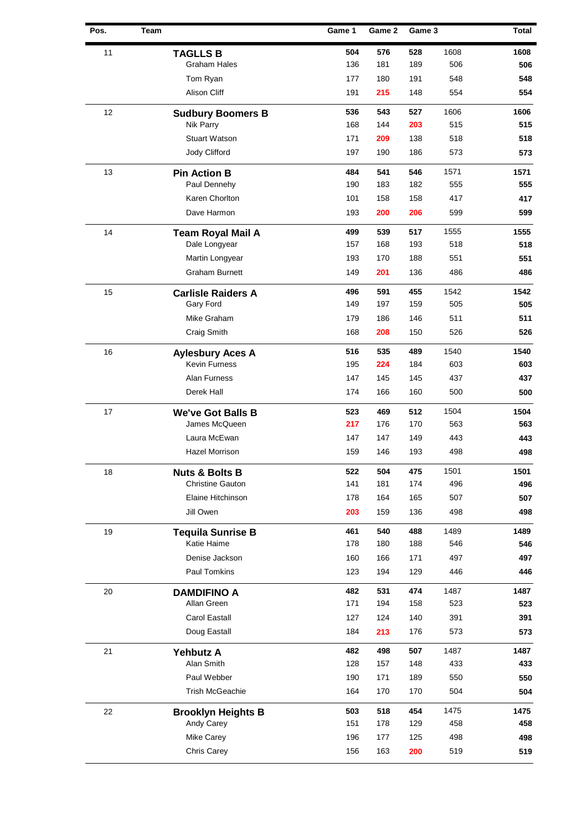| Pos. | Team |                           | Game 1 | Game 2 | Game 3 |      | Total |
|------|------|---------------------------|--------|--------|--------|------|-------|
| 11   |      | <b>TAGLLS B</b>           | 504    | 576    | 528    | 1608 | 1608  |
|      |      | <b>Graham Hales</b>       | 136    | 181    | 189    | 506  | 506   |
|      |      | Tom Ryan                  | 177    | 180    | 191    | 548  | 548   |
|      |      | <b>Alison Cliff</b>       | 191    | 215    | 148    | 554  | 554   |
| 12   |      | <b>Sudbury Boomers B</b>  | 536    | 543    | 527    | 1606 | 1606  |
|      |      | Nik Parry                 | 168    | 144    | 203    | 515  | 515   |
|      |      | <b>Stuart Watson</b>      | 171    | 209    | 138    | 518  | 518   |
|      |      | Jody Clifford             | 197    | 190    | 186    | 573  | 573   |
| 13   |      | <b>Pin Action B</b>       | 484    | 541    | 546    | 1571 | 1571  |
|      |      | Paul Dennehy              | 190    | 183    | 182    | 555  | 555   |
|      |      | Karen Chorlton            | 101    | 158    | 158    | 417  | 417   |
|      |      | Dave Harmon               | 193    | 200    | 206    | 599  | 599   |
| 14   |      | <b>Team Royal Mail A</b>  | 499    | 539    | 517    | 1555 | 1555  |
|      |      | Dale Longyear             | 157    | 168    | 193    | 518  | 518   |
|      |      | Martin Longyear           | 193    | 170    | 188    | 551  | 551   |
|      |      | <b>Graham Burnett</b>     | 149    | 201    | 136    | 486  | 486   |
| 15   |      | <b>Carlisle Raiders A</b> | 496    | 591    | 455    | 1542 | 1542  |
|      |      | Gary Ford                 | 149    | 197    | 159    | 505  | 505   |
|      |      | Mike Graham               | 179    | 186    | 146    | 511  | 511   |
|      |      | Craig Smith               | 168    | 208    | 150    | 526  | 526   |
| 16   |      | <b>Aylesbury Aces A</b>   | 516    | 535    | 489    | 1540 | 1540  |
|      |      | Kevin Furness             | 195    | 224    | 184    | 603  | 603   |
|      |      | Alan Furness              | 147    | 145    | 145    | 437  | 437   |
|      |      | Derek Hall                | 174    | 166    | 160    | 500  | 500   |
| 17   |      | <b>We've Got Balls B</b>  | 523    | 469    | 512    | 1504 | 1504  |
|      |      | James McQueen             | 217    | 176    | 170    | 563  | 563   |
|      |      | Laura McEwan              | 147    | 147    | 149    | 443  | 443   |
|      |      | Hazel Morrison            | 159    | 146    | 193    | 498  | 498   |
| 18   |      | <b>Nuts &amp; Bolts B</b> | 522    | 504    | 475    | 1501 | 1501  |
|      |      | <b>Christine Gauton</b>   | 141    | 181    | 174    | 496  | 496   |
|      |      | Elaine Hitchinson         | 178    | 164    | 165    | 507  | 507   |
|      |      | Jill Owen                 | 203    | 159    | 136    | 498  | 498   |
| 19   |      | <b>Tequila Sunrise B</b>  | 461    | 540    | 488    | 1489 | 1489  |
|      |      | Katie Haime               | 178    | 180    | 188    | 546  | 546   |
|      |      | Denise Jackson            | 160    | 166    | 171    | 497  | 497   |
|      |      | Paul Tomkins              | 123    | 194    | 129    | 446  | 446   |
| 20   |      | <b>DAMDIFINO A</b>        | 482    | 531    | 474    | 1487 | 1487  |
|      |      | Allan Green               | 171    | 194    | 158    | 523  | 523   |
|      |      | Carol Eastall             | 127    | 124    | 140    | 391  | 391   |
|      |      | Doug Eastall              | 184    | 213    | 176    | 573  | 573   |
| 21   |      | <b>Yehbutz A</b>          | 482    | 498    | 507    | 1487 | 1487  |
|      |      | Alan Smith                | 128    | 157    | 148    | 433  | 433   |
|      |      | Paul Webber               | 190    | 171    | 189    | 550  | 550   |
|      |      | <b>Trish McGeachie</b>    | 164    | 170    | 170    | 504  | 504   |
| 22   |      | <b>Brooklyn Heights B</b> | 503    | 518    | 454    | 1475 | 1475  |
|      |      | Andy Carey                | 151    | 178    | 129    | 458  | 458   |
|      |      | Mike Carey                | 196    | 177    | 125    | 498  | 498   |
|      |      | Chris Carey               | 156    | 163    | 200    | 519  | 519   |
|      |      |                           |        |        |        |      |       |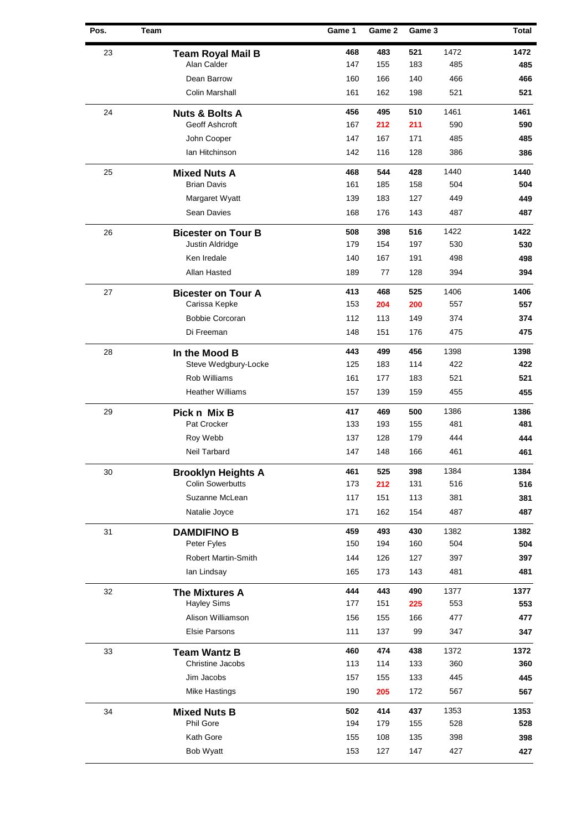| Pos. | <b>Team</b> |                           | Game 1 | Game 2 | Game 3 |      | <b>Total</b> |
|------|-------------|---------------------------|--------|--------|--------|------|--------------|
| 23   |             | <b>Team Royal Mail B</b>  | 468    | 483    | 521    | 1472 | 1472         |
|      |             | Alan Calder               | 147    | 155    | 183    | 485  | 485          |
|      |             | Dean Barrow               | 160    | 166    | 140    | 466  | 466          |
|      |             | Colin Marshall            | 161    | 162    | 198    | 521  | 521          |
| 24   |             | <b>Nuts &amp; Bolts A</b> | 456    | 495    | 510    | 1461 | 1461         |
|      |             | Geoff Ashcroft            | 167    | 212    | 211    | 590  | 590          |
|      |             | John Cooper               | 147    | 167    | 171    | 485  | 485          |
|      |             | Ian Hitchinson            | 142    | 116    | 128    | 386  | 386          |
| 25   |             | <b>Mixed Nuts A</b>       | 468    | 544    | 428    | 1440 | 1440         |
|      |             | <b>Brian Davis</b>        | 161    | 185    | 158    | 504  | 504          |
|      |             | Margaret Wyatt            | 139    | 183    | 127    | 449  | 449          |
|      |             | Sean Davies               | 168    | 176    | 143    | 487  | 487          |
| 26   |             | <b>Bicester on Tour B</b> | 508    | 398    | 516    | 1422 | 1422         |
|      |             | Justin Aldridge           | 179    | 154    | 197    | 530  | 530          |
|      |             | Ken Iredale               | 140    | 167    | 191    | 498  | 498          |
|      |             | Allan Hasted              | 189    | 77     | 128    | 394  | 394          |
| 27   |             | <b>Bicester on Tour A</b> | 413    | 468    | 525    | 1406 | 1406         |
|      |             | Carissa Kepke             | 153    | 204    | 200    | 557  | 557          |
|      |             | <b>Bobbie Corcoran</b>    | 112    | 113    | 149    | 374  | 374          |
|      |             | Di Freeman                | 148    | 151    | 176    | 475  | 475          |
| 28   |             | In the Mood B             | 443    | 499    | 456    | 1398 | 1398         |
|      |             | Steve Wedgbury-Locke      | 125    | 183    | 114    | 422  | 422          |
|      |             | Rob Williams              | 161    | 177    | 183    | 521  | 521          |
|      |             | <b>Heather Williams</b>   | 157    | 139    | 159    | 455  | 455          |
| 29   |             | Pick n Mix B              | 417    | 469    | 500    | 1386 | 1386         |
|      |             | Pat Crocker               | 133    | 193    | 155    | 481  | 481          |
|      |             | Roy Webb                  | 137    | 128    | 179    | 444  | 444          |
|      |             | Neil Tarbard              | 147    | 148    | 166    | 461  | 461          |
| 30   |             | <b>Brooklyn Heights A</b> | 461    | 525    | 398    | 1384 | 1384         |
|      |             | <b>Colin Sowerbutts</b>   | 173    | 212    | 131    | 516  | 516          |
|      |             | Suzanne McLean            | 117    | 151    | 113    | 381  | 381          |
|      |             | Natalie Joyce             | 171    | 162    | 154    | 487  | 487          |
| 31   |             | <b>DAMDIFINO B</b>        | 459    | 493    | 430    | 1382 | 1382         |
|      |             | Peter Fyles               | 150    | 194    | 160    | 504  | 504          |
|      |             | Robert Martin-Smith       | 144    | 126    | 127    | 397  | 397          |
|      |             | Ian Lindsay               | 165    | 173    | 143    | 481  | 481          |
| 32   |             | <b>The Mixtures A</b>     | 444    | 443    | 490    | 1377 | 1377         |
|      |             | <b>Hayley Sims</b>        | 177    | 151    | 225    | 553  | 553          |
|      |             | Alison Williamson         | 156    | 155    | 166    | 477  | 477          |
|      |             | <b>Elsie Parsons</b>      | 111    | 137    | 99     | 347  | 347          |
| 33   |             | <b>Team Wantz B</b>       | 460    | 474    | 438    | 1372 | 1372         |
|      |             | Christine Jacobs          | 113    | 114    | 133    | 360  | 360          |
|      |             | Jim Jacobs                | 157    | 155    | 133    | 445  | 445          |
|      |             | <b>Mike Hastings</b>      | 190    | 205    | 172    | 567  | 567          |
| 34   |             | <b>Mixed Nuts B</b>       | 502    | 414    | 437    | 1353 | 1353         |
|      |             | Phil Gore                 | 194    | 179    | 155    | 528  | 528          |
|      |             | Kath Gore                 | 155    | 108    | 135    | 398  | 398          |
|      |             | <b>Bob Wyatt</b>          | 153    | 127    | 147    | 427  | 427          |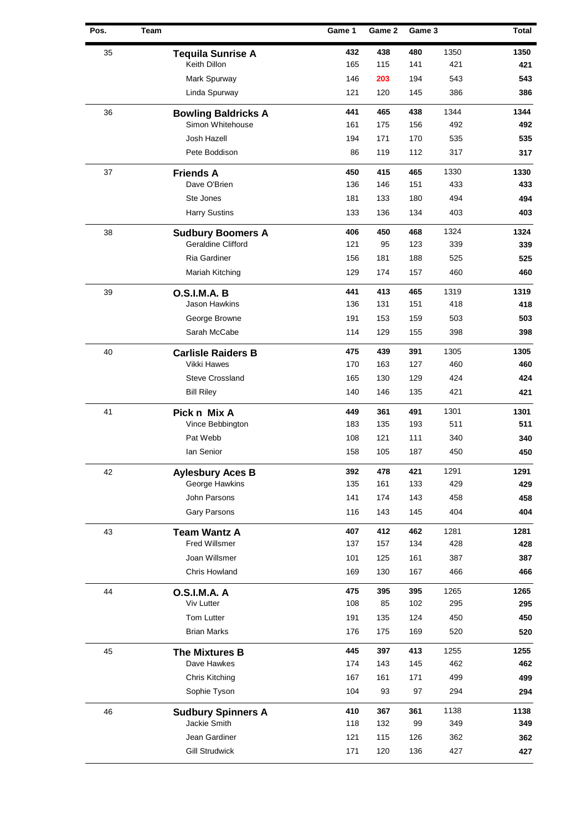| Pos. | <b>Team</b> |                            | Game 1 | Game 2 | Game 3 |      | <b>Total</b> |
|------|-------------|----------------------------|--------|--------|--------|------|--------------|
| 35   |             | <b>Tequila Sunrise A</b>   | 432    | 438    | 480    | 1350 | 1350         |
|      |             | Keith Dillon               | 165    | 115    | 141    | 421  | 421          |
|      |             | Mark Spurway               | 146    | 203    | 194    | 543  | 543          |
|      |             | Linda Spurway              | 121    | 120    | 145    | 386  | 386          |
| 36   |             | <b>Bowling Baldricks A</b> | 441    | 465    | 438    | 1344 | 1344         |
|      |             | Simon Whitehouse           | 161    | 175    | 156    | 492  | 492          |
|      |             | Josh Hazell                | 194    | 171    | 170    | 535  | 535          |
|      |             | Pete Boddison              | 86     | 119    | 112    | 317  | 317          |
| 37   |             | <b>Friends A</b>           | 450    | 415    | 465    | 1330 | 1330         |
|      |             | Dave O'Brien               | 136    | 146    | 151    | 433  | 433          |
|      |             | Ste Jones                  | 181    | 133    | 180    | 494  | 494          |
|      |             | <b>Harry Sustins</b>       | 133    | 136    | 134    | 403  | 403          |
| 38   |             | <b>Sudbury Boomers A</b>   | 406    | 450    | 468    | 1324 | 1324         |
|      |             | <b>Geraldine Clifford</b>  | 121    | 95     | 123    | 339  | 339          |
|      |             | Ria Gardiner               | 156    | 181    | 188    | 525  | 525          |
|      |             | Mariah Kitching            | 129    | 174    | 157    | 460  | 460          |
| 39   |             | O.S.I.M.A. B               | 441    | 413    | 465    | 1319 | 1319         |
|      |             | Jason Hawkins              | 136    | 131    | 151    | 418  | 418          |
|      |             | George Browne              | 191    | 153    | 159    | 503  | 503          |
|      |             | Sarah McCabe               | 114    | 129    | 155    | 398  | 398          |
| 40   |             | <b>Carlisle Raiders B</b>  | 475    | 439    | 391    | 1305 | 1305         |
|      |             | Vikki Hawes                | 170    | 163    | 127    | 460  | 460          |
|      |             | Steve Crossland            | 165    | 130    | 129    | 424  | 424          |
|      |             | <b>Bill Riley</b>          | 140    | 146    | 135    | 421  | 421          |
| 41   |             | Pick n Mix A               | 449    | 361    | 491    | 1301 | 1301         |
|      |             | Vince Bebbington           | 183    | 135    | 193    | 511  | 511          |
|      |             | Pat Webb                   | 108    | 121    | 111    | 340  | 340          |
|      |             | lan Senior                 | 158    | 105    | 187    | 450  | 450          |
| 42   |             | <b>Aylesbury Aces B</b>    | 392    | 478    | 421    | 1291 | 1291         |
|      |             | George Hawkins             | 135    | 161    | 133    | 429  | 429          |
|      |             | John Parsons               | 141    | 174    | 143    | 458  | 458          |
|      |             | Gary Parsons               | 116    | 143    | 145    | 404  | 404          |
| 43   |             | <b>Team Wantz A</b>        | 407    | 412    | 462    | 1281 | 1281         |
|      |             | <b>Fred Willsmer</b>       | 137    | 157    | 134    | 428  | 428          |
|      |             | Joan Willsmer              | 101    | 125    | 161    | 387  | 387          |
|      |             | Chris Howland              | 169    | 130    | 167    | 466  | 466          |
| 44   |             | <b>O.S.I.M.A. A</b>        | 475    | 395    | 395    | 1265 | 1265         |
|      |             | Viv Lutter                 | 108    | 85     | 102    | 295  | 295          |
|      |             | Tom Lutter                 | 191    | 135    | 124    | 450  | 450          |
|      |             | <b>Brian Marks</b>         | 176    | 175    | 169    | 520  | 520          |
| 45   |             | The Mixtures B             | 445    | 397    | 413    | 1255 | 1255         |
|      |             | Dave Hawkes                | 174    | 143    | 145    | 462  | 462          |
|      |             | Chris Kitching             | 167    | 161    | 171    | 499  | 499          |
|      |             | Sophie Tyson               | 104    | 93     | 97     | 294  | 294          |
| 46   |             | <b>Sudbury Spinners A</b>  | 410    | 367    | 361    | 1138 | 1138         |
|      |             | Jackie Smith               | 118    | 132    | 99     | 349  | 349          |
|      |             | Jean Gardiner              | 121    | 115    | 126    | 362  | 362          |
|      |             | <b>Gill Strudwick</b>      | 171    | 120    | 136    | 427  | 427          |
|      |             |                            |        |        |        |      |              |